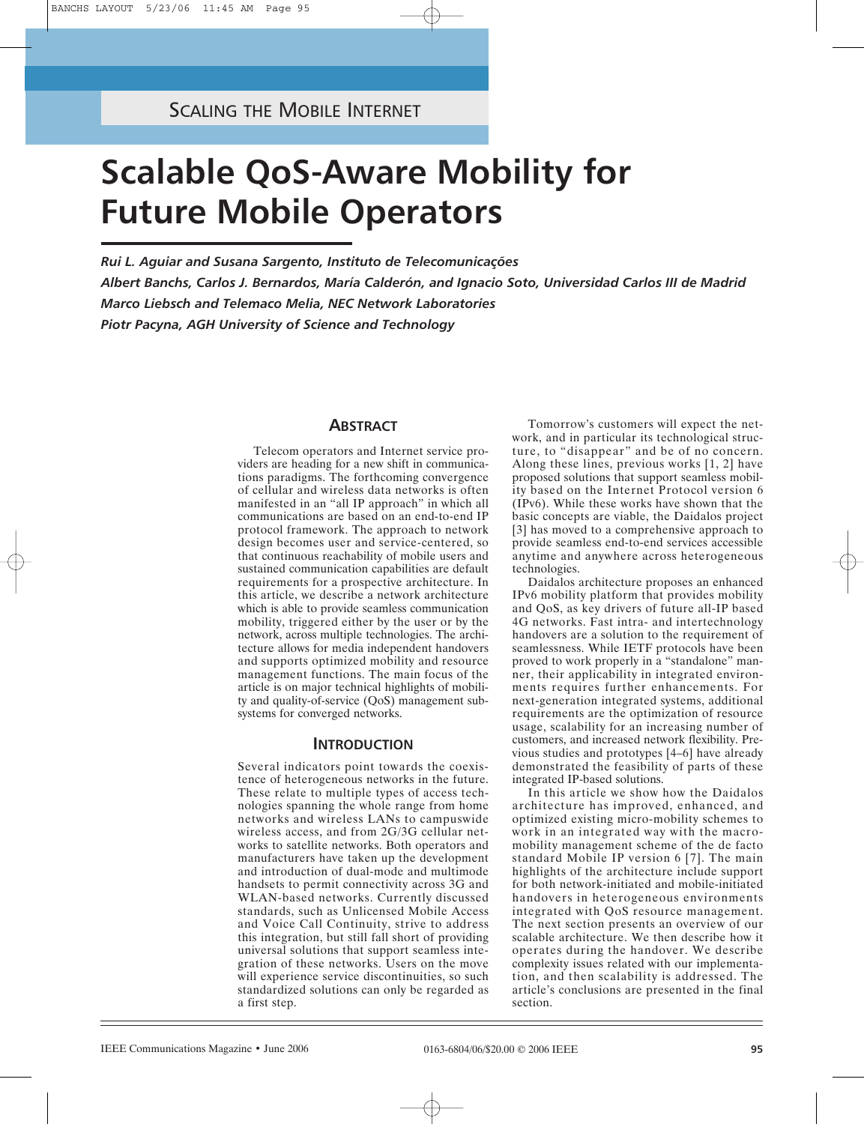# **Scalable QoS-Aware Mobility for Future Mobile Operators**

*Rui L. Aguiar and Susana Sargento, Instituto de Telecomunicações Albert Banchs, Carlos J. Bernardos, María Calderón, and Ignacio Soto, Universidad Carlos III de Madrid Marco Liebsch and Telemaco Melia, NEC Network Laboratories Piotr Pacyna, AGH University of Science and Technology*

# **ABSTRACT**

Telecom operators and Internet service providers are heading for a new shift in communications paradigms. The forthcoming convergence of cellular and wireless data networks is often manifested in an "all IP approach" in which all communications are based on an end-to-end IP protocol framework. The approach to network design becomes user and service-centered, so that continuous reachability of mobile users and sustained communication capabilities are default requirements for a prospective architecture. In this article, we describe a network architecture which is able to provide seamless communication mobility, triggered either by the user or by the network, across multiple technologies. The architecture allows for media independent handovers and supports optimized mobility and resource management functions. The main focus of the article is on major technical highlights of mobility and quality-of-service (QoS) management subsystems for converged networks.

## **INTRODUCTION**

Several indicators point towards the coexistence of heterogeneous networks in the future. These relate to multiple types of access technologies spanning the whole range from home networks and wireless LANs to campuswide wireless access, and from 2G/3G cellular networks to satellite networks. Both operators and manufacturers have taken up the development and introduction of dual-mode and multimode handsets to permit connectivity across 3G and WLAN-based networks. Currently discussed standards, such as Unlicensed Mobile Access and Voice Call Continuity, strive to address this integration, but still fall short of providing universal solutions that support seamless integration of these networks. Users on the move will experience service discontinuities, so such standardized solutions can only be regarded as a first step.

Tomorrow's customers will expect the network, and in particular its technological structure, to "disappear" and be of no concern. Along these lines, previous works [1, 2] have proposed solutions that support seamless mobility based on the Internet Protocol version 6 (IPv6). While these works have shown that the basic concepts are viable, the Daidalos project [3] has moved to a comprehensive approach to provide seamless end-to-end services accessible anytime and anywhere across heterogeneous technologies.

Daidalos architecture proposes an enhanced IPv6 mobility platform that provides mobility and QoS, as key drivers of future all-IP based 4G networks. Fast intra- and intertechnology handovers are a solution to the requirement of seamlessness. While IETF protocols have been proved to work properly in a "standalone" manner, their applicability in integrated environments requires further enhancements. For next-generation integrated systems, additional requirements are the optimization of resource usage, scalability for an increasing number of customers, and increased network flexibility. Previous studies and prototypes [4–6] have already demonstrated the feasibility of parts of these integrated IP-based solutions.

In this article we show how the Daidalos architecture has improved, enhanced, and optimized existing micro-mobility schemes to work in an integrated way with the macromobility management scheme of the de facto standard Mobile IP version 6 [7]. The main highlights of the architecture include support for both network-initiated and mobile-initiated handovers in heterogeneous environments integrated with QoS resource management. The next section presents an overview of our scalable architecture. We then describe how it operates during the handover. We describe complexity issues related with our implementation, and then scalability is addressed. The article's conclusions are presented in the final section.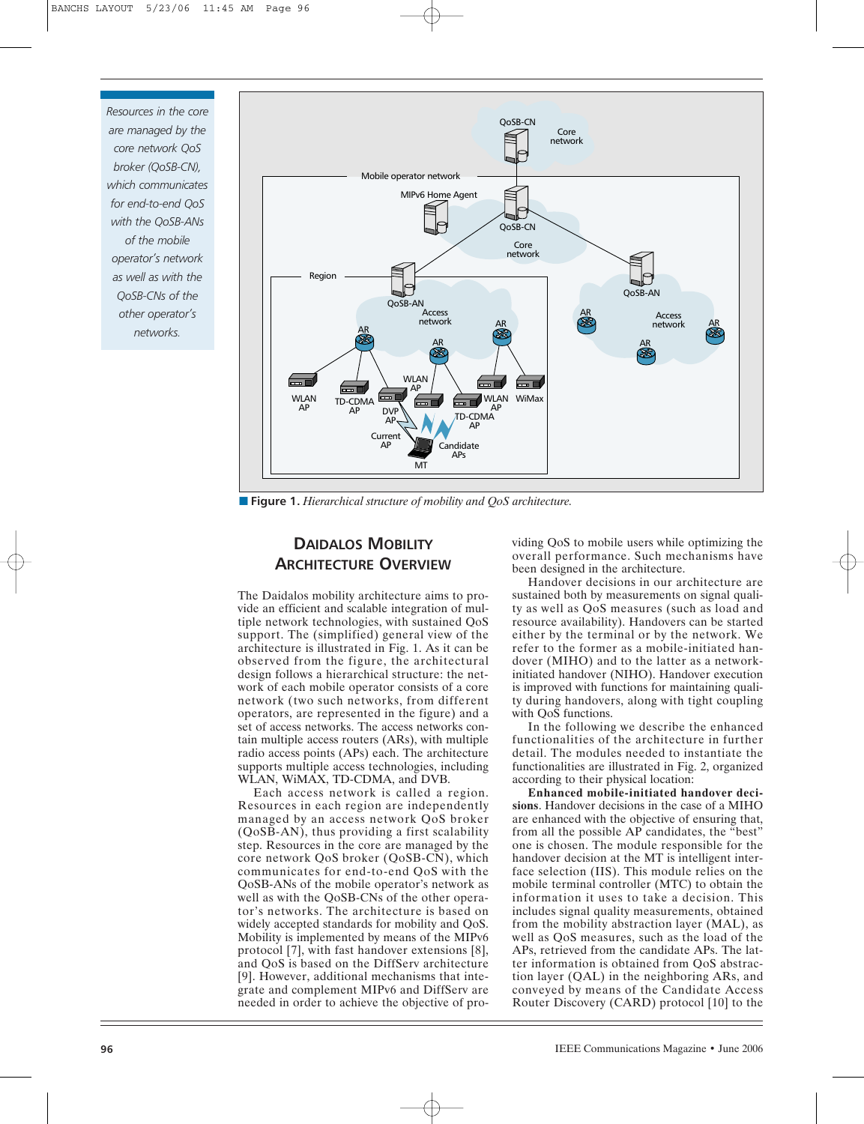*Resources in the core are managed by the core network QoS broker (QoSB-CN), which communicates for end-to-end QoS with the QoSB-ANs of the mobile operator's network as well as with the QoSB-CNs of the other operator's networks.*



**■ Figure 1.** *Hierarchical structure of mobility and QoS architecture.*

# **DAIDALOS MOBILITY ARCHITECTURE OVERVIEW**

The Daidalos mobility architecture aims to provide an efficient and scalable integration of multiple network technologies, with sustained QoS support. The (simplified) general view of the architecture is illustrated in Fig. 1. As it can be observed from the figure, the architectural design follows a hierarchical structure: the network of each mobile operator consists of a core network (two such networks, from different operators, are represented in the figure) and a set of access networks. The access networks contain multiple access routers (ARs), with multiple radio access points (APs) each. The architecture supports multiple access technologies, including WLAN, WiMAX, TD-CDMA, and DVB.

Each access network is called a region. Resources in each region are independently managed by an access network QoS broker (QoSB-AN), thus providing a first scalability step. Resources in the core are managed by the core network QoS broker (QoSB-CN), which communicates for end-to-end QoS with the QoSB-ANs of the mobile operator's network as well as with the QoSB-CNs of the other operator's networks. The architecture is based on widely accepted standards for mobility and QoS. Mobility is implemented by means of the MIPv6 protocol [7], with fast handover extensions [8], and QoS is based on the DiffServ architecture [9]. However, additional mechanisms that integrate and complement MIPv6 and DiffServ are needed in order to achieve the objective of providing QoS to mobile users while optimizing the overall performance. Such mechanisms have been designed in the architecture.

Handover decisions in our architecture are sustained both by measurements on signal quality as well as QoS measures (such as load and resource availability). Handovers can be started either by the terminal or by the network. We refer to the former as a mobile-initiated handover (MIHO) and to the latter as a networkinitiated handover (NIHO). Handover execution is improved with functions for maintaining quality during handovers, along with tight coupling with QoS functions.

In the following we describe the enhanced functionalities of the architecture in further detail. The modules needed to instantiate the functionalities are illustrated in Fig. 2, organized according to their physical location:

**Enhanced mobile-initiated handover decisions**. Handover decisions in the case of a MIHO are enhanced with the objective of ensuring that, from all the possible AP candidates, the "best" one is chosen. The module responsible for the handover decision at the MT is intelligent interface selection (IIS). This module relies on the mobile terminal controller (MTC) to obtain the information it uses to take a decision. This includes signal quality measurements, obtained from the mobility abstraction layer (MAL), as well as QoS measures, such as the load of the APs, retrieved from the candidate APs. The latter information is obtained from QoS abstraction layer (QAL) in the neighboring ARs, and conveyed by means of the Candidate Access Router Discovery (CARD) protocol [10] to the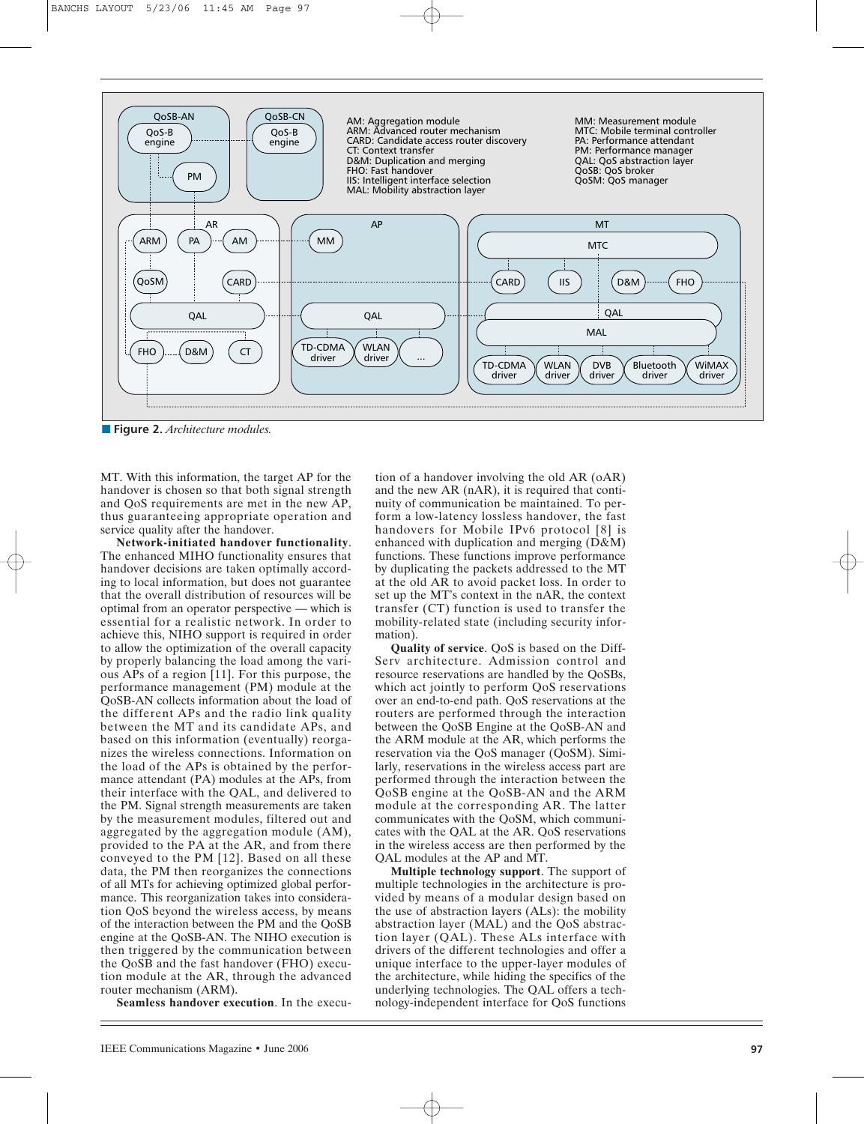

**■ Figure 2.** *Architecture modules.*

MT. With this information, the target AP for the handover is chosen so that both signal strength and QoS requirements are met in the new AP, thus guaranteeing appropriate operation and service quality after the handover.

**Network-initiated handover functionality**. The enhanced MIHO functionality ensures that handover decisions are taken optimally according to local information, but does not guarantee that the overall distribution of resources will be optimal from an operator perspective — which is essential for a realistic network. In order to achieve this, NIHO support is required in order to allow the optimization of the overall capacity by properly balancing the load among the various APs of a region [11]. For this purpose, the performance management (PM) module at the QoSB-AN collects information about the load of the different APs and the radio link quality between the MT and its candidate APs, and based on this information (eventually) reorganizes the wireless connections. Information on the load of the APs is obtained by the performance attendant (PA) modules at the APs, from their interface with the QAL, and delivered to the PM. Signal strength measurements are taken by the measurement modules, filtered out and aggregated by the aggregation module (AM), provided to the PA at the AR, and from there conveyed to the PM [12]. Based on all these data, the PM then reorganizes the connections of all MTs for achieving optimized global performance. This reorganization takes into consideration QoS beyond the wireless access, by means of the interaction between the PM and the QoSB engine at the QoSB-AN. The NIHO execution is then triggered by the communication between the QoSB and the fast handover (FHO) execution module at the AR, through the advanced router mechanism (ARM).

**Seamless handover execution**. In the execu-

tion of a handover involving the old AR (oAR) and the new AR (nAR), it is required that continuity of communication be maintained. To perform a low-latency lossless handover, the fast handovers for Mobile IPv6 protocol [8] is enhanced with duplication and merging (D&M) functions. These functions improve performance by duplicating the packets addressed to the MT at the old AR to avoid packet loss. In order to set up the MT's context in the nAR, the context transfer (CT) function is used to transfer the mobility-related state (including security information).

**Quality of service**. QoS is based on the Diff-Serv architecture. Admission control and resource reservations are handled by the QoSBs, which act jointly to perform QoS reservations over an end-to-end path. QoS reservations at the routers are performed through the interaction between the QoSB Engine at the QoSB-AN and the ARM module at the AR, which performs the reservation via the QoS manager (QoSM). Similarly, reservations in the wireless access part are performed through the interaction between the QoSB engine at the QoSB-AN and the ARM module at the corresponding AR. The latter communicates with the QoSM, which communicates with the QAL at the AR. QoS reservations in the wireless access are then performed by the QAL modules at the AP and MT.

**Multiple technology support**. The support of multiple technologies in the architecture is provided by means of a modular design based on the use of abstraction layers (ALs): the mobility abstraction layer (MAL) and the QoS abstraction layer (QAL). These ALs interface with drivers of the different technologies and offer a unique interface to the upper-layer modules of the architecture, while hiding the specifics of the underlying technologies. The QAL offers a technology-independent interface for QoS functions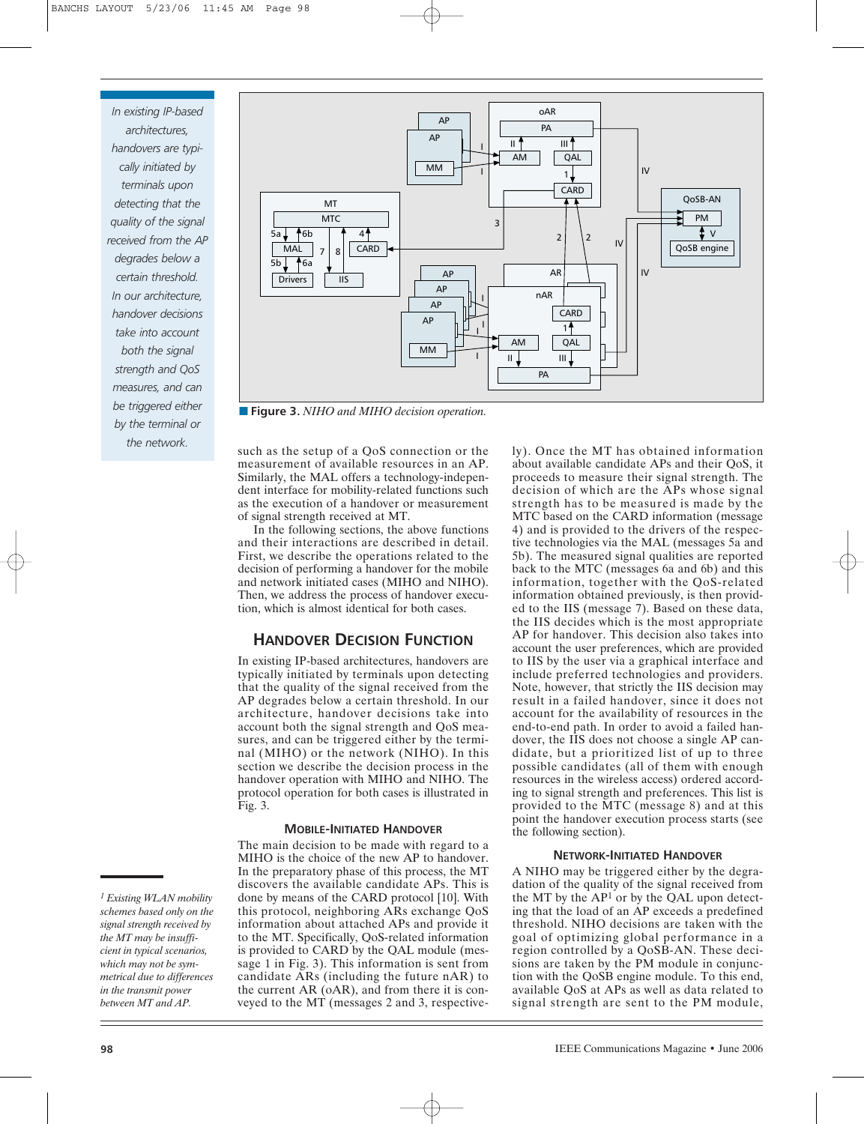*In existing IP-based architectures, handovers are typically initiated by terminals upon detecting that the quality of the signal received from the AP degrades below a certain threshold. In our architecture, handover decisions take into account both the signal strength and QoS measures, and can be triggered either by the terminal or the network.*

*<sup>1</sup> Existing WLAN mobility schemes based only on the signal strength received by the MT may be insufficient in typical scenarios, which may not be symmetrical due to differences in the transmit power between MT and AP.*



**■ Figure 3.** *NIHO and MIHO decision operation.*

such as the setup of a QoS connection or the measurement of available resources in an AP. Similarly, the MAL offers a technology-independent interface for mobility-related functions such as the execution of a handover or measurement of signal strength received at MT.

In the following sections, the above functions and their interactions are described in detail. First, we describe the operations related to the decision of performing a handover for the mobile and network initiated cases (MIHO and NIHO). Then, we address the process of handover execution, which is almost identical for both cases.

# **HANDOVER DECISION FUNCTION**

In existing IP-based architectures, handovers are typically initiated by terminals upon detecting that the quality of the signal received from the AP degrades below a certain threshold. In our architecture, handover decisions take into account both the signal strength and QoS measures, and can be triggered either by the terminal (MIHO) or the network (NIHO). In this section we describe the decision process in the handover operation with MIHO and NIHO. The protocol operation for both cases is illustrated in Fig. 3.

## **MOBILE-INITIATED HANDOVER**

The main decision to be made with regard to a MIHO is the choice of the new AP to handover. In the preparatory phase of this process, the MT discovers the available candidate APs. This is done by means of the CARD protocol [10]. With this protocol, neighboring ARs exchange QoS information about attached APs and provide it to the MT. Specifically, QoS-related information is provided to CARD by the QAL module (message 1 in Fig. 3). This information is sent from candidate ARs (including the future nAR) to the current AR (oAR), and from there it is conveyed to the MT (messages 2 and 3, respectively). Once the MT has obtained information about available candidate APs and their QoS, it proceeds to measure their signal strength. The decision of which are the APs whose signal strength has to be measured is made by the MTC based on the CARD information (message 4) and is provided to the drivers of the respective technologies via the MAL (messages 5a and 5b). The measured signal qualities are reported back to the MTC (messages 6a and 6b) and this information, together with the QoS-related information obtained previously, is then provided to the IIS (message 7). Based on these data, the IIS decides which is the most appropriate AP for handover. This decision also takes into account the user preferences, which are provided to IIS by the user via a graphical interface and include preferred technologies and providers. Note, however, that strictly the IIS decision may result in a failed handover, since it does not account for the availability of resources in the end-to-end path. In order to avoid a failed handover, the IIS does not choose a single AP candidate, but a prioritized list of up to three possible candidates (all of them with enough resources in the wireless access) ordered according to signal strength and preferences. This list is provided to the MTC (message 8) and at this point the handover execution process starts (see the following section).

## **NETWORK-INITIATED HANDOVER**

A NIHO may be triggered either by the degradation of the quality of the signal received from the MT by the  $AP<sup>1</sup>$  or by the QAL upon detecting that the load of an AP exceeds a predefined threshold. NIHO decisions are taken with the goal of optimizing global performance in a region controlled by a QoSB-AN. These decisions are taken by the PM module in conjunction with the QoSB engine module. To this end, available QoS at APs as well as data related to signal strength are sent to the PM module,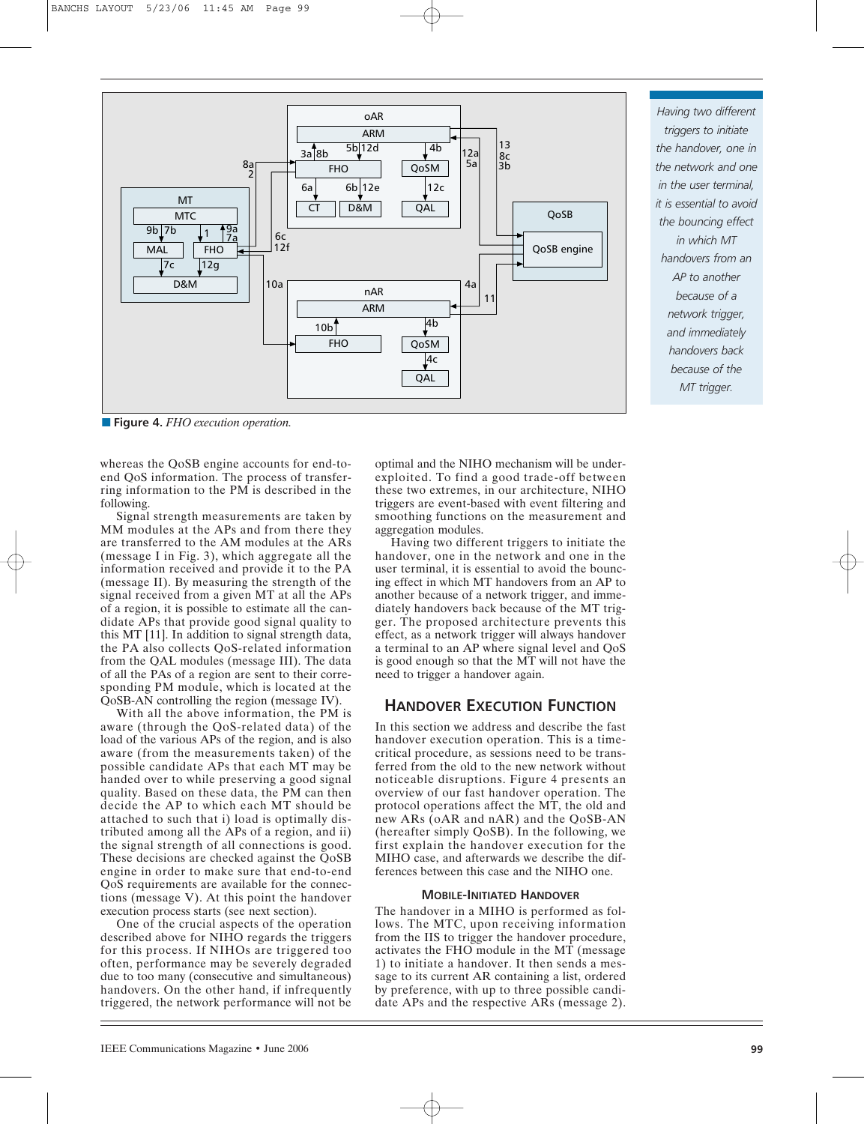

*Having two different triggers to initiate the handover, one in the network and one in the user terminal, it is essential to avoid the bouncing effect in which MT handovers from an AP to another because of a network trigger, and immediately handovers back because of the MT trigger.*

**■ Figure 4.** *FHO execution operation.*

whereas the QoSB engine accounts for end-toend QoS information. The process of transferring information to the PM is described in the following.

Signal strength measurements are taken by MM modules at the APs and from there they are transferred to the AM modules at the ARs (message I in Fig. 3), which aggregate all the information received and provide it to the PA (message II). By measuring the strength of the signal received from a given MT at all the APs of a region, it is possible to estimate all the candidate APs that provide good signal quality to this MT [11]. In addition to signal strength data, the PA also collects QoS-related information from the QAL modules (message III). The data of all the PAs of a region are sent to their corresponding PM module, which is located at the QoSB-AN controlling the region (message IV).

With all the above information, the PM is aware (through the QoS-related data) of the load of the various APs of the region, and is also aware (from the measurements taken) of the possible candidate APs that each MT may be handed over to while preserving a good signal quality. Based on these data, the PM can then decide the AP to which each MT should be attached to such that i) load is optimally distributed among all the APs of a region, and ii) the signal strength of all connections is good. These decisions are checked against the QoSB engine in order to make sure that end-to-end QoS requirements are available for the connections (message V). At this point the handover execution process starts (see next section).

One of the crucial aspects of the operation described above for NIHO regards the triggers for this process. If NIHOs are triggered too often, performance may be severely degraded due to too many (consecutive and simultaneous) handovers. On the other hand, if infrequently triggered, the network performance will not be

optimal and the NIHO mechanism will be underexploited. To find a good trade-off between these two extremes, in our architecture, NIHO triggers are event-based with event filtering and smoothing functions on the measurement and aggregation modules.

Having two different triggers to initiate the handover, one in the network and one in the user terminal, it is essential to avoid the bouncing effect in which MT handovers from an AP to another because of a network trigger, and immediately handovers back because of the MT trigger. The proposed architecture prevents this effect, as a network trigger will always handover a terminal to an AP where signal level and QoS is good enough so that the MT will not have the need to trigger a handover again.

# **HANDOVER EXECUTION FUNCTION**

In this section we address and describe the fast handover execution operation. This is a timecritical procedure, as sessions need to be transferred from the old to the new network without noticeable disruptions. Figure 4 presents an overview of our fast handover operation. The protocol operations affect the MT, the old and new ARs (oAR and nAR) and the QoSB-AN (hereafter simply QoSB). In the following, we first explain the handover execution for the MIHO case, and afterwards we describe the differences between this case and the NIHO one.

## **MOBILE-INITIATED HANDOVER**

The handover in a MIHO is performed as follows. The MTC, upon receiving information from the IIS to trigger the handover procedure, activates the FHO module in the MT (message 1) to initiate a handover. It then sends a message to its current AR containing a list, ordered by preference, with up to three possible candidate APs and the respective ARs (message 2).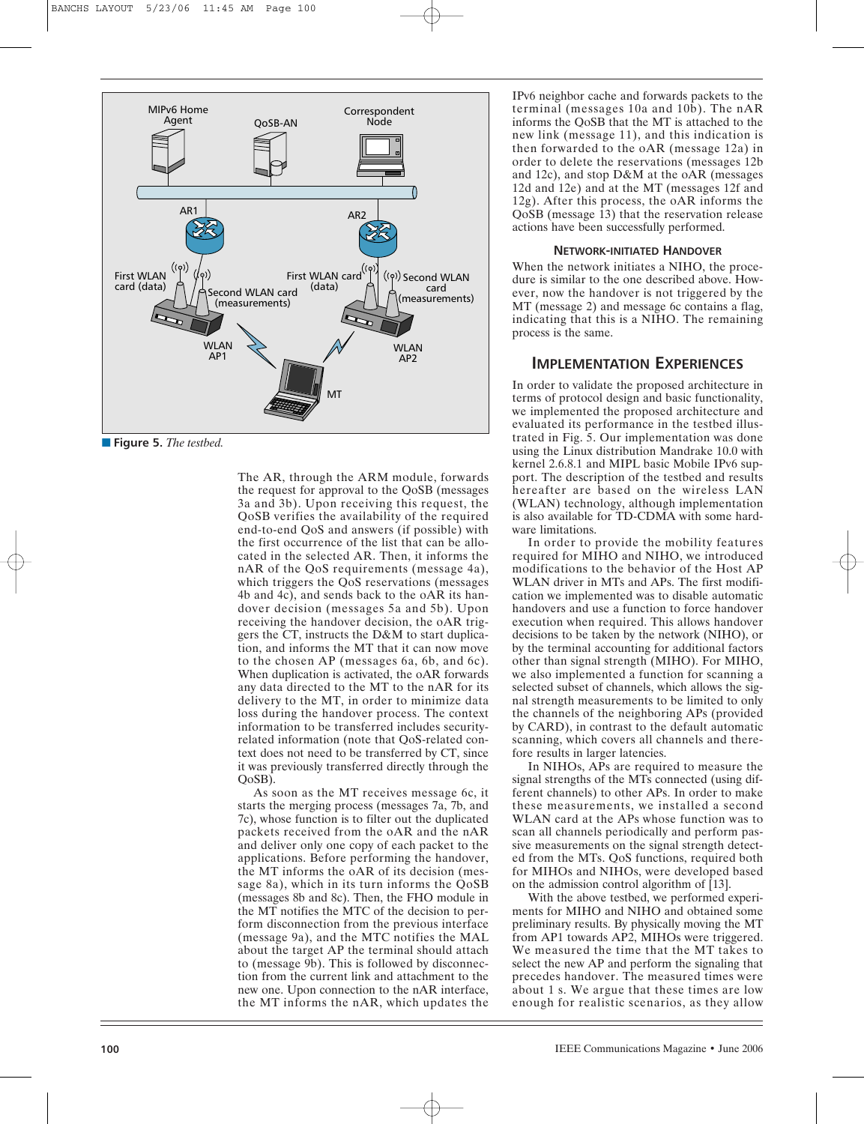

**■ Figure 5.** *The testbed.*

The AR, through the ARM module, forwards the request for approval to the QoSB (messages 3a and 3b). Upon receiving this request, the QoSB verifies the availability of the required end-to-end QoS and answers (if possible) with the first occurrence of the list that can be allocated in the selected AR. Then, it informs the nAR of the QoS requirements (message 4a), which triggers the QoS reservations (messages 4b and 4c), and sends back to the oAR its handover decision (messages 5a and 5b). Upon receiving the handover decision, the oAR triggers the CT, instructs the D&M to start duplication, and informs the MT that it can now move to the chosen AP (messages 6a, 6b, and 6c). When duplication is activated, the oAR forwards any data directed to the MT to the nAR for its delivery to the MT, in order to minimize data loss during the handover process. The context information to be transferred includes securityrelated information (note that QoS-related context does not need to be transferred by CT, since it was previously transferred directly through the QoSB).

As soon as the MT receives message 6c, it starts the merging process (messages 7a, 7b, and 7c), whose function is to filter out the duplicated packets received from the oAR and the nAR and deliver only one copy of each packet to the applications. Before performing the handover, the MT informs the oAR of its decision (message 8a), which in its turn informs the QoSB (messages 8b and 8c). Then, the FHO module in the MT notifies the MTC of the decision to perform disconnection from the previous interface (message 9a), and the MTC notifies the MAL about the target AP the terminal should attach to (message  $\overline{9b}$ ). This is followed by disconnection from the current link and attachment to the new one. Upon connection to the nAR interface, the MT informs the nAR, which updates the

IPv6 neighbor cache and forwards packets to the terminal (messages 10a and 10b). The nAR informs the QoSB that the MT is attached to the new link (message 11), and this indication is then forwarded to the oAR (message 12a) in order to delete the reservations (messages 12b and 12c), and stop D&M at the oAR (messages 12d and 12e) and at the MT (messages 12f and 12g). After this process, the oAR informs the QoSB (message 13) that the reservation release actions have been successfully performed.

#### **NETWORK-INITIATED HANDOVER**

When the network initiates a NIHO, the procedure is similar to the one described above. However, now the handover is not triggered by the MT (message 2) and message 6c contains a flag, indicating that this is a NIHO. The remaining process is the same.

# **IMPLEMENTATION EXPERIENCES**

In order to validate the proposed architecture in terms of protocol design and basic functionality, we implemented the proposed architecture and evaluated its performance in the testbed illustrated in Fig. 5. Our implementation was done using the Linux distribution Mandrake 10.0 with kernel 2.6.8.1 and MIPL basic Mobile IPv6 support. The description of the testbed and results hereafter are based on the wireless LAN (WLAN) technology, although implementation is also available for TD-CDMA with some hardware limitations.

In order to provide the mobility features required for MIHO and NIHO, we introduced modifications to the behavior of the Host AP WLAN driver in MTs and APs. The first modification we implemented was to disable automatic handovers and use a function to force handover execution when required. This allows handover decisions to be taken by the network (NIHO), or by the terminal accounting for additional factors other than signal strength (MIHO). For MIHO, we also implemented a function for scanning a selected subset of channels, which allows the signal strength measurements to be limited to only the channels of the neighboring APs (provided by CARD), in contrast to the default automatic scanning, which covers all channels and therefore results in larger latencies.

In NIHOs, APs are required to measure the signal strengths of the MTs connected (using different channels) to other APs. In order to make these measurements, we installed a second WLAN card at the APs whose function was to scan all channels periodically and perform passive measurements on the signal strength detected from the MTs. QoS functions, required both for MIHOs and NIHOs, were developed based on the admission control algorithm of [13].

With the above testbed, we performed experiments for MIHO and NIHO and obtained some preliminary results. By physically moving the MT from AP1 towards AP2, MIHOs were triggered. We measured the time that the MT takes to select the new AP and perform the signaling that precedes handover. The measured times were about 1 s. We argue that these times are low enough for realistic scenarios, as they allow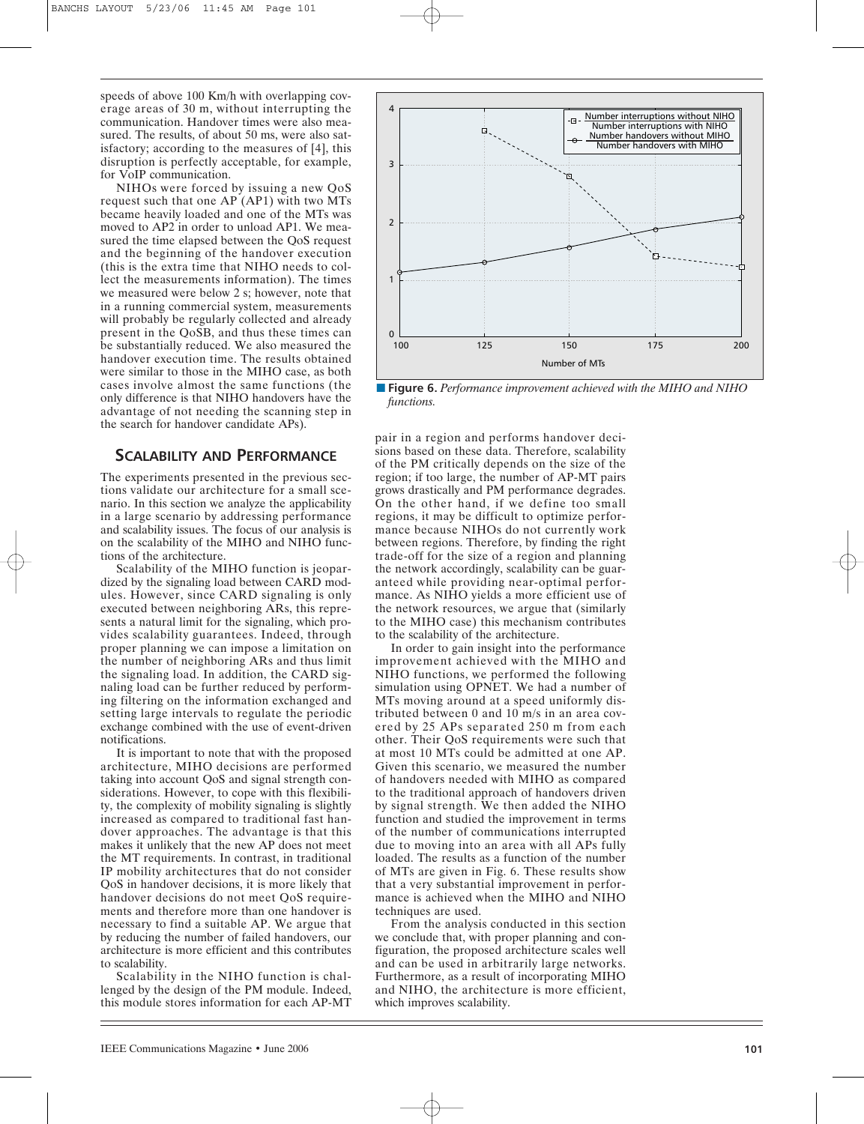speeds of above 100 Km/h with overlapping coverage areas of 30 m, without interrupting the communication. Handover times were also measured. The results, of about 50 ms, were also satisfactory; according to the measures of [4], this disruption is perfectly acceptable, for example, for VoIP communication.

NIHOs were forced by issuing a new QoS request such that one AP (AP1) with two MTs became heavily loaded and one of the MTs was moved to AP2 in order to unload AP1. We measured the time elapsed between the QoS request and the beginning of the handover execution (this is the extra time that NIHO needs to collect the measurements information). The times we measured were below 2 s; however, note that in a running commercial system, measurements will probably be regularly collected and already present in the QoSB, and thus these times can be substantially reduced. We also measured the handover execution time. The results obtained were similar to those in the MIHO case, as both cases involve almost the same functions (the only difference is that NIHO handovers have the advantage of not needing the scanning step in the search for handover candidate APs).

# **SCALABILITY AND PERFORMANCE**

The experiments presented in the previous sections validate our architecture for a small scenario. In this section we analyze the applicability in a large scenario by addressing performance and scalability issues. The focus of our analysis is on the scalability of the MIHO and NIHO functions of the architecture.

Scalability of the MIHO function is jeopardized by the signaling load between CARD modules. However, since CARD signaling is only executed between neighboring ARs, this represents a natural limit for the signaling, which provides scalability guarantees. Indeed, through proper planning we can impose a limitation on the number of neighboring ARs and thus limit the signaling load. In addition, the CARD signaling load can be further reduced by performing filtering on the information exchanged and setting large intervals to regulate the periodic exchange combined with the use of event-driven notifications.

It is important to note that with the proposed architecture, MIHO decisions are performed taking into account QoS and signal strength considerations. However, to cope with this flexibility, the complexity of mobility signaling is slightly increased as compared to traditional fast handover approaches. The advantage is that this makes it unlikely that the new AP does not meet the MT requirements. In contrast, in traditional IP mobility architectures that do not consider QoS in handover decisions, it is more likely that handover decisions do not meet QoS requirements and therefore more than one handover is necessary to find a suitable AP. We argue that by reducing the number of failed handovers, our architecture is more efficient and this contributes to scalability.

Scalability in the NIHO function is challenged by the design of the PM module. Indeed, this module stores information for each AP-MT



**■ Figure 6.** *Performance improvement achieved with the MIHO and NIHO functions.*

pair in a region and performs handover decisions based on these data. Therefore, scalability of the PM critically depends on the size of the region; if too large, the number of AP-MT pairs grows drastically and PM performance degrades. On the other hand, if we define too small regions, it may be difficult to optimize performance because NIHOs do not currently work between regions. Therefore, by finding the right trade-off for the size of a region and planning the network accordingly, scalability can be guaranteed while providing near-optimal performance. As NIHO yields a more efficient use of the network resources, we argue that (similarly to the MIHO case) this mechanism contributes to the scalability of the architecture.

In order to gain insight into the performance improvement achieved with the MIHO and NIHO functions, we performed the following simulation using OPNET. We had a number of MTs moving around at a speed uniformly distributed between 0 and 10 m/s in an area covered by 25 APs separated 250 m from each other. Their QoS requirements were such that at most 10 MTs could be admitted at one AP. Given this scenario, we measured the number of handovers needed with MIHO as compared to the traditional approach of handovers driven by signal strength. We then added the NIHO function and studied the improvement in terms of the number of communications interrupted due to moving into an area with all APs fully loaded. The results as a function of the number of MTs are given in Fig. 6. These results show that a very substantial improvement in performance is achieved when the MIHO and NIHO techniques are used.

From the analysis conducted in this section we conclude that, with proper planning and configuration, the proposed architecture scales well and can be used in arbitrarily large networks. Furthermore, as a result of incorporating MIHO and NIHO, the architecture is more efficient, which improves scalability.